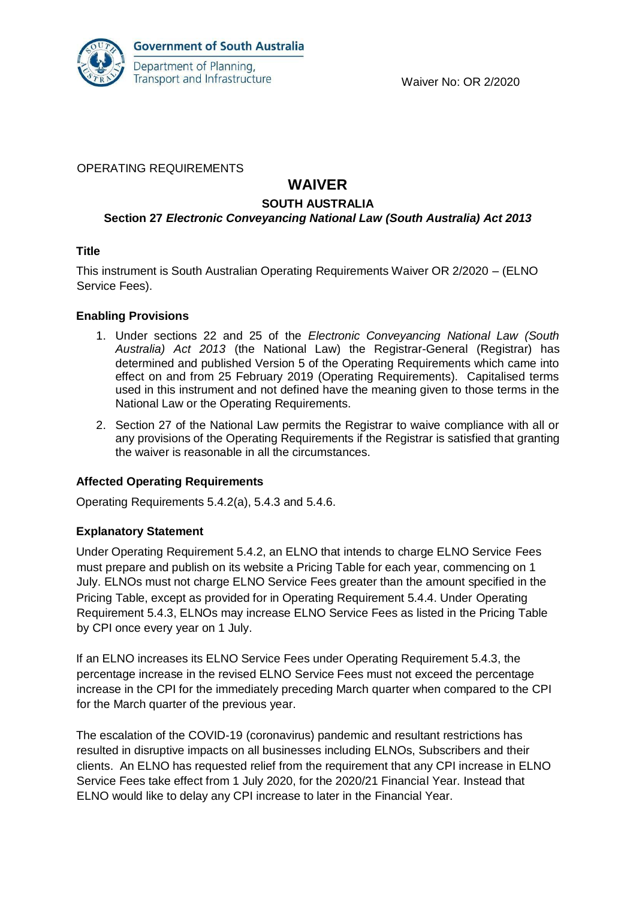

## OPERATING REQUIREMENTS

# **WAIVER**

## **SOUTH AUSTRALIA**

## **Section 27** *Electronic Conveyancing National Law (South Australia) Act 2013*

## **Title**

This instrument is South Australian Operating Requirements Waiver OR 2/2020 – (ELNO Service Fees).

## **Enabling Provisions**

- 1. Under sections 22 and 25 of the *Electronic Conveyancing National Law (South Australia) Act 2013* (the National Law) the Registrar-General (Registrar) has determined and published Version 5 of the Operating Requirements which came into effect on and from 25 February 2019 (Operating Requirements). Capitalised terms used in this instrument and not defined have the meaning given to those terms in the National Law or the Operating Requirements.
- 2. Section 27 of the National Law permits the Registrar to waive compliance with all or any provisions of the Operating Requirements if the Registrar is satisfied that granting the waiver is reasonable in all the circumstances.

## **Affected Operating Requirements**

Operating Requirements 5.4.2(a), 5.4.3 and 5.4.6.

## **Explanatory Statement**

Under Operating Requirement 5.4.2, an ELNO that intends to charge ELNO Service Fees must prepare and publish on its website a Pricing Table for each year, commencing on 1 July. ELNOs must not charge ELNO Service Fees greater than the amount specified in the Pricing Table, except as provided for in Operating Requirement 5.4.4. Under Operating Requirement 5.4.3, ELNOs may increase ELNO Service Fees as listed in the Pricing Table by CPI once every year on 1 July.

If an ELNO increases its ELNO Service Fees under Operating Requirement 5.4.3, the percentage increase in the revised ELNO Service Fees must not exceed the percentage increase in the CPI for the immediately preceding March quarter when compared to the CPI for the March quarter of the previous year.

The escalation of the COVID-19 (coronavirus) pandemic and resultant restrictions has resulted in disruptive impacts on all businesses including ELNOs, Subscribers and their clients. An ELNO has requested relief from the requirement that any CPI increase in ELNO Service Fees take effect from 1 July 2020, for the 2020/21 Financial Year. Instead that ELNO would like to delay any CPI increase to later in the Financial Year.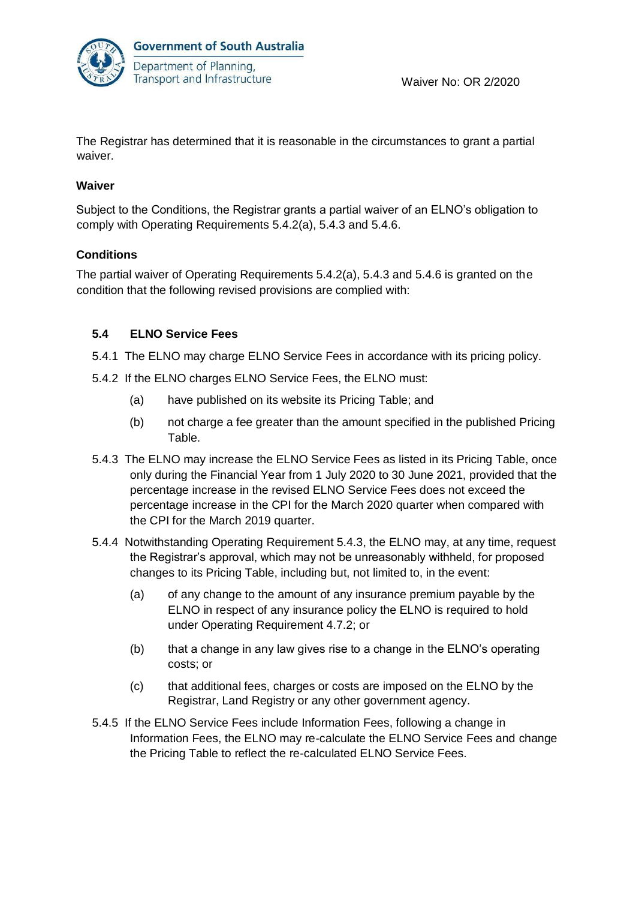

The Registrar has determined that it is reasonable in the circumstances to grant a partial waiver.

## **Waiver**

Subject to the Conditions, the Registrar grants a partial waiver of an ELNO's obligation to comply with Operating Requirements 5.4.2(a), 5.4.3 and 5.4.6.

## **Conditions**

The partial waiver of Operating Requirements 5.4.2(a), 5.4.3 and 5.4.6 is granted on the condition that the following revised provisions are complied with:

## **5.4 ELNO Service Fees**

- 5.4.1 The ELNO may charge ELNO Service Fees in accordance with its pricing policy.
- 5.4.2 If the ELNO charges ELNO Service Fees, the ELNO must:
	- (a) have published on its website its Pricing Table; and
	- (b) not charge a fee greater than the amount specified in the published Pricing Table.
- 5.4.3 The ELNO may increase the ELNO Service Fees as listed in its Pricing Table, once only during the Financial Year from 1 July 2020 to 30 June 2021, provided that the percentage increase in the revised ELNO Service Fees does not exceed the percentage increase in the CPI for the March 2020 quarter when compared with the CPI for the March 2019 quarter.
- 5.4.4 Notwithstanding Operating Requirement 5.4.3, the ELNO may, at any time, request the Registrar's approval, which may not be unreasonably withheld, for proposed changes to its Pricing Table, including but, not limited to, in the event:
	- (a) of any change to the amount of any insurance premium payable by the ELNO in respect of any insurance policy the ELNO is required to hold under Operating Requirement 4.7.2; or
	- (b) that a change in any law gives rise to a change in the ELNO's operating costs; or
	- (c) that additional fees, charges or costs are imposed on the ELNO by the Registrar, Land Registry or any other government agency.
- 5.4.5 If the ELNO Service Fees include Information Fees, following a change in Information Fees, the ELNO may re-calculate the ELNO Service Fees and change the Pricing Table to reflect the re-calculated ELNO Service Fees.